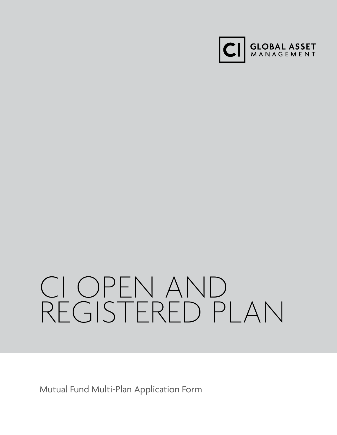

# CI OPEN AND REGISTERED PLAN

Mutual Fund Multi-Plan Application Form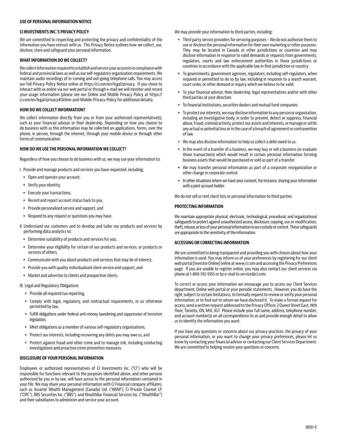# **USE OF PERSONAL INFORMATION NOTICE**

## **CI INVESTMENTS INC.'S PRIVACY POLICY**

We are committed to respecting and protecting the privacy and confidentiality of the information you have entrust with us. This Privacy Notice outlines how we collect, use, disclose, store and safeguard your personal information.

# **WHAT INFORMATION DO WE COLLECT?**

We collect information required to establish and service your accounts in compliance with federal and provincial laws as well as our self-regulatory organization requirements. We maintain audio recordings of in-coming and out-going telephone calls. You may access our full Privacy Policy Notice online at https://ci.com/en/legal/privacy. If you chose to interact with us online via our web portal or through e-mail we will monitor and record your usage information (please see our Online and Mobile Privacy Policy at https:// ci.com/en/legal/privacy#Online-and-Mobile-Privacy-Policy for additional details).

## **HOW DO WE COLLECT INFORMATION?**

We collect information directly from you or from your authorized representative(s), such as your financial advisor or their dealership. Depending on how you choose to do business with us this information may be collected on applications, forms, over the phone, in person, through the internet, through your mobile device or through other forms of communication.

## **HOW DO WE USE THE PERSONAL INFORMATION WE COLLECT?**

Regardless of how you choose to do business with us, we may use your information to:

I. Provide and manage products and services you have requested, including;

- Open and operate your account,
- Verify your identity,
- Execute your transactions,
- y Record and report account status back to you,
- Provide personalized service and support, and
- Respond to any request or questions you may have.
- II. Understand our customers and to develop and tailor our products and services by performing data analytics to:
	- Determine suitability of products and services for you,
- Determine your eligibility for certain of our products and services, or products or services of others,
- Communicate with you about products and services that may be of interest,
- Provide you with quality individualized client service and support, and
- Market and advertise to clients and prospective clients.

#### III. Legal and Regulatory Obligations

- Provide all required tax reporting,
- Comply with legal, regulatory, and contractual requirements, or as otherwise permitted by law,
- Fulfill obligations under federal anti-money laundering and suppression of terrorism legislation,
- Meet obligations as a member of various self-regulatory organizations,
- Protect our interests, including recovering any debts you may owe us, and
- Protect against fraud and other crime and to manage risk, including conducting investigations and proactive crime prevention measures.

#### **DISCLOSURE OF YOUR PERSONAL INFORMATION**

Employees or authorized representatives of CI Investments Inc. ("CI") who will be responsible for functions relevant to the purposes identified above, and other persons authorized by you or by law, will have access to the personal information contained in your file. We may share your personal information with CI Financial company affiliates, such as Assante Wealth Management (Canada) Ltd. ("AWM"), CI Private Counsel LP, ("CIPC"), BBS Securities Inc. ("BBS"), and WealthBar Financial Services Inc. ("WealthBar") and their subsidiaries to administer and service your account.

We may provide your information to third parties, including:

- Third party service providers for servicing purposes We do not authorize them to use or disclose the personal information for their own marketing or other purposes. They may be located in Canada or other jurisdictions or countries and may disclose information in response to valid demands or requests from governments, regulators, courts and law enforcement authorities in those jurisdictions or countries in accordance with the applicable law in that jurisdiction or country.
- To governments, government agencies, regulators, including self-regulators, when required or permitted to do so by law, including in response to a search warrant, court order, or other demand or inquiry which we believe to be valid.
- To your financial advisor, their dealership, legal representatives and/or with other third parties at your direction.
- To financial institutions, securities dealers and mutual fund companies.
- To protect our interests, we may disclose information to any person or organization, including an investigative body, in order to prevent, detect or suppress, financial abuse, fraud, criminal activity, protect our assets and interests, or manage or settle any actual or potential loss or in the case of a breach of agreement or contravention of law.
- We may also disclose information to help us collect a debt owed to us.
- In the event of a transfer of a business, we may buy or sell a business (or evaluate those transactions) which would result in certain personal information forming business assets that would be purchased or sold as part of a transfer.
- We may transfer personal information as part of a corporate reorganization or other change in corporate control.
- In other situations where we have your consent, for instance, sharing your information with a joint account holder.

We do not sell or rent client lists or personal information to third parties.

## **PROTECTING INFORMATION**

We maintain appropriate physical, electronic, technological, procedural, and organizational safeguards to protect against unauthorized access, disclosure, copying, use or modification, theft, misuse, or loss of your personal information in our custody or control. These safeguards are appropriate to the sensitivity of the information.

#### **ACCESSING OR CORRECTING INFORMATION**

We are committed to being transparent and providing you with choices about how your information is used. You may inform us of your preferences by registering for our client web portal [Investor Online] online at www.ci.com and accessing the Privacy Preferences page. If you are unable to register online, you may also contact our client services via phone at 1-800-792-9355 or by e-mail to service@ci.com.

To correct or access your information we encourage you to access our Client Services department, Online web portal or your periodic statements. However, you do have the right, subject to certain limitations, to formally request to review or verify your personal information, or to find out to whom we have disclosed it. To make a formal request for access, send a written request addressed to the Privacy Officer, 2 Queen Street East, 19th Floor, Toronto, ON, M5C 3G7. Please include your full name, address, telephone number, and account number(s) on all correspondence to us and provide enough detail to allow us to identify the information you want.

If you have any questions or concerns about our privacy practices, the privacy of your personal information, or you want to change your privacy preferences, please let us know by contacting your financial advisor or contacting our Client Services Department. We are committed to helping resolve your questions or concerns.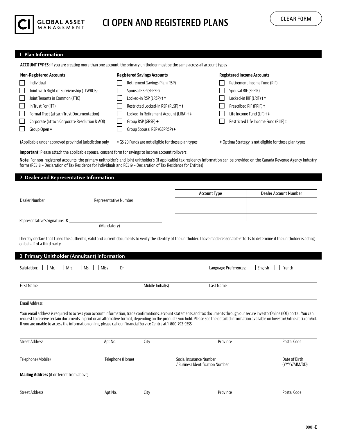

# **CI OPEN AND REGISTERED PLANS**

# **1 Plan Information**

**ACCOUNT TYPES:** If you are creating more than one account, the primary unitholder must be the same across all account types

| <b>Non-Registered Accounts</b>                | <b>Registered Savings Accounts</b>      | <b>Registered Income Accounts</b>    |  |  |
|-----------------------------------------------|-----------------------------------------|--------------------------------------|--|--|
| Individual                                    | Retirement Savings Plan (RSP)           | Retirement Income Fund (RIF)         |  |  |
| Joint with Right of Survivorship (JTWROS)     | Spousal RSP (SPRSP)                     | Spousal RIF (SPRIF)                  |  |  |
| Joint Tenants in Common (JTIC)                | Locked-in RSP (LRSP) + ‡                | Locked-in RIF (LRIF) † ‡             |  |  |
| In Trust For (ITF)                            | Restricted Locked-in RSP (RLSP) + ‡     | Prescribed RIF (PRIF) +              |  |  |
| Formal Trust (attach Trust Documentation)     | Locked-In Retirement Account (LIRA) + ‡ | Life Income Fund (LIF) † ‡           |  |  |
| Corporate (attach Corporate Resolution & AOI) | Group RSP (GRSP) $\leftarrow$           | Restricted Life Income Fund (RLIF) ‡ |  |  |
| Group Open $\bm{\ast}$                        | Group Spousal RSP (GSPRSP)+             |                                      |  |  |
|                                               |                                         |                                      |  |  |

tApplicable under approved provincial jurisdiction only  $\pm$  G5|20 Funds are not eligible for these plan types → Optima Strategy is not eligible for these plan types

**Important:** Please attach the applicable spousal consent form for savings to income account rollovers.

**Note:** For non-registered accounts, the primary unitholder's and joint unitholder's (if applicable) tax residency information can be provided on the Canada Revenue Agency industry forms (RC518 – Declaration of Tax Residence for Individuals and RC519 – Declaration of Tax Residence for Entities)

**2 Dealer and Representative Information**

|                                                                      |                                                                                                                                                                                           | <b>Account Type</b> | Dealer Account Number                       |
|----------------------------------------------------------------------|-------------------------------------------------------------------------------------------------------------------------------------------------------------------------------------------|---------------------|---------------------------------------------|
| Dealer Number                                                        | Representative Number                                                                                                                                                                     |                     |                                             |
|                                                                      |                                                                                                                                                                                           |                     |                                             |
| Representative's Signature: $X_{-}$                                  |                                                                                                                                                                                           |                     |                                             |
|                                                                      | (Mandatory)                                                                                                                                                                               |                     |                                             |
| on behalf of a third party.                                          | I hereby declare that I used the authentic, valid and current documents to verify the identity of the unitholder. I have made reasonable efforts to determine if the unitholder is acting |                     |                                             |
| 3 Primary Unitholder (Annuitant) Information                         |                                                                                                                                                                                           |                     |                                             |
| Salutation: $\Box$ Mr. $\Box$ Mrs. $\Box$ Ms. $\Box$ Miss $\Box$ Dr. |                                                                                                                                                                                           |                     | Language Preferences:     English<br>French |

Email Address

Your email address is required to access your account information, trade confirmations, account statements and tax documents through our secure InvestorOnline (IOL) portal. You can request to receive certain documents in print or an alternative format, depending on the products you hold. Please see the detailed information available on InvestorOnline at ci.com/iol. If you are unable to access the information online, please call our Financial Service Centre at 1-800-792-9355.

**Middle Initial(s)** Last Name

| <b>Street Address</b>                            | Apt No.          | City | Province                                                    | Postal Code                   |
|--------------------------------------------------|------------------|------|-------------------------------------------------------------|-------------------------------|
| Telephone (Mobile)                               | Telephone (Home) |      | Social Insurance Number<br>/ Business Identification Number | Date of Birth<br>(YYYY/MM/DD) |
| <b>Mailing Address</b> (if different from above) |                  |      |                                                             |                               |
| <b>Street Address</b>                            | Apt No.          | City | Province                                                    | Postal Code                   |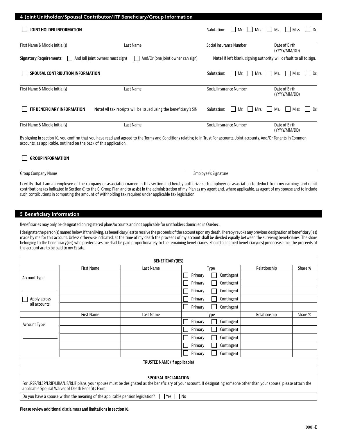|                                    | 4 Joint Unitholder/Spousal Contributor/ITF Beneficiary/Group Information |                                                            |                                                                     |
|------------------------------------|--------------------------------------------------------------------------|------------------------------------------------------------|---------------------------------------------------------------------|
| JOINT HOLDER INFORMATION           |                                                                          | Mrs.<br>Salutation:<br>Mr.<br>$\mathbf{1}$<br>$\mathbf{1}$ | Ms.<br>Miss<br>Dr.<br>$\mathbf{1}$                                  |
| First Name & Middle Initial(s)     | Last Name                                                                | Social Insurance Number                                    | Date of Birth<br>(YYYY/MM/DD)                                       |
| <b>Signatory Requirements:</b>     | And (all joint owners must sign)<br>And/Or (one joint owner can sign)    |                                                            | Note! If left blank, signing authority will default to all to sign. |
| SPOUSAL CONTRIBUTION INFORMATION   |                                                                          | Mrs.<br>Salutation:<br>Mr.                                 | Ms.<br>Miss<br>Dr.                                                  |
| First Name & Middle Initial(s)     | Last Name                                                                | Social Insurance Number                                    | Date of Birth<br>(YYYY/MM/DD)                                       |
| <b>ITF BENEFICIARY INFORMATION</b> | Note! All tax receipts will be issued using the beneficiary's SIN        | Mr.<br>Mrs.<br>Salutation:<br>$\mathbf{1}$<br>$\mathbf{1}$ | Ms.<br><b>Miss</b><br>Dr.                                           |
| First Name & Middle Initial(s)     | Last Name                                                                | Social Insurance Number                                    | Date of Birth<br>(YYYY/MM/DD)                                       |

By signing in section 10, you confirm that you have read and agreed to the Terms and Conditions relating to In Trust For accounts, Joint accounts, And/Or Tenants in Common accounts, as applicable, outlined on the back of this application.

# GROUP INFORMATION

## Group Company Name Employee's Signature

I certify that I am an employee of the company or association named in this section and hereby authorize such employer or association to deduct from my earnings and remit contributions (as indicated in Section 6) to the CI Group Plan and to assist in the administration of my Plan as my agent and, where applicable, as agent of my spouse and to include such contributions in computing the amount of withholding tax required under applicable tax legislation.

# **5 Beneficiary Information**

Beneficiaries may only be designated on registered plans/accounts and not applicable for unitholders domiciled in Quebec.

I designate the person(s) named below, if then living, as beneficiary(ies) to receive the proceeds of the account upon my death. I hereby revoke any previous designation of beneficiary(ies) made by me for this account. Unless otherwise indicated, at the time of my death the proceeds of my account shall be divided equally between the surviving beneficiaries. The share belonging to the beneficiary(ies) who predeceases me shall be paid proportionately to the remaining beneficiaries. Should all named beneficiary(ies) predecease me, the proceeds of the account are to be paid to my Estate.

| BENEFICIARY(IES) |                                                                                                                                                                                                                                 |                              |         |            |              |         |  |
|------------------|---------------------------------------------------------------------------------------------------------------------------------------------------------------------------------------------------------------------------------|------------------------------|---------|------------|--------------|---------|--|
|                  | <b>First Name</b>                                                                                                                                                                                                               | Last Name                    |         | Type       | Relationship | Share % |  |
| Account Type:    |                                                                                                                                                                                                                                 |                              | Primary | Contingent |              |         |  |
|                  |                                                                                                                                                                                                                                 |                              | Primary | Contingent |              |         |  |
|                  |                                                                                                                                                                                                                                 |                              | Primary | Contingent |              |         |  |
| Apply across     |                                                                                                                                                                                                                                 |                              | Primary | Contingent |              |         |  |
| all accounts     |                                                                                                                                                                                                                                 |                              | Primary | Contingent |              |         |  |
|                  | <b>First Name</b>                                                                                                                                                                                                               | Last Name                    |         | Type       | Relationship | Share % |  |
| Account Type:    |                                                                                                                                                                                                                                 |                              | Primary | Contingent |              |         |  |
|                  |                                                                                                                                                                                                                                 |                              | Primary | Contingent |              |         |  |
|                  |                                                                                                                                                                                                                                 |                              | Primary | Contingent |              |         |  |
|                  |                                                                                                                                                                                                                                 |                              | Primary | Contingent |              |         |  |
|                  |                                                                                                                                                                                                                                 |                              | Primary | Contingent |              |         |  |
|                  |                                                                                                                                                                                                                                 | TRUSTEE NAME (if applicable) |         |            |              |         |  |
|                  |                                                                                                                                                                                                                                 |                              |         |            |              |         |  |
|                  | For LRSP/RLSP/LRIF/LIRA/LIF/RLIF plans, your spouse must be designated as the beneficiary of your account. If designating someone other than your spouse, please attach the<br>applicable Spousal Waiver of Death Benefits Form | <b>SPOUSAL DECLARATION</b>   |         |            |              |         |  |
|                  | Do you have a spouse within the meaning of the applicable pension legislation?                                                                                                                                                  | Yes<br>$\mathbf{1}$          | No      |            |              |         |  |

#### **Please review additional disclaimers and limitations in section 10.**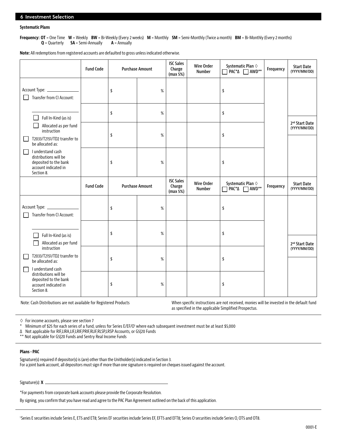# **Systematic Plans**

**Frequency: OT** = One Time **W** = Weekly **BW** = Bi-Weekly (Every 2 weeks) **M** = Monthly **SM** = Semi-Monthly (Twice a month) **BM** = Bi-Monthly (Every 2 months) **Q** = Quarterly **SA** = Semi-Annually **A** = Annually

**Note:** All redemptions from registered accounts are defaulted to gross unless indicated otherwise.

|                                                                                                                | <b>Fund Code</b> | <b>Purchase Amount</b> |      | <b>ISC Sales</b><br>Charge<br>(max 5%) | <b>Wire Order</b><br><b>Number</b> | Systematic Plan $\diamond$<br>$\Box$ PAC* $\Delta$ $\Box$ AWD**         | Frequency | <b>Start Date</b><br>(YYYY/MM/DD)          |
|----------------------------------------------------------------------------------------------------------------|------------------|------------------------|------|----------------------------------------|------------------------------------|-------------------------------------------------------------------------|-----------|--------------------------------------------|
| Transfer from CI Account:                                                                                      |                  | \$                     | $\%$ |                                        |                                    | \$                                                                      |           |                                            |
| Full In-Kind (as is)                                                                                           |                  | \$                     | $\%$ |                                        |                                    | \$                                                                      |           |                                            |
| Allocated as per fund<br>instruction<br>T2033/T2151/TD2 transfer to<br>be allocated as:                        |                  | \$                     | %    |                                        |                                    | \$                                                                      |           | 2 <sup>nd</sup> Start Date<br>(YYYY/MM/DD) |
| I understand cash<br>distributions will be<br>deposited to the bank<br>account indicated in<br>Section 8.      |                  | \$                     | $\%$ |                                        |                                    | \$                                                                      |           |                                            |
|                                                                                                                | <b>Fund Code</b> | <b>Purchase Amount</b> |      | <b>ISC Sales</b><br>Charge<br>(max 5%) | <b>Wire Order</b><br>Number        | Systematic Plan $\diamond$<br>PAC <sup>*</sup> ∆ AWD <sup>**</sup><br>П | Frequency | <b>Start Date</b><br>(YYYY/MM/DD)          |
| Transfer from CI Account:                                                                                      |                  | \$                     | $\%$ |                                        |                                    | \$                                                                      |           |                                            |
| Full In-Kind (as is)<br>Allocated as per fund<br>instruction                                                   |                  | \$                     | %    |                                        |                                    | \$                                                                      |           | 2 <sup>nd</sup> Start Date                 |
| T2033/T2151/TD2 transfer to<br><b>COL</b><br>be allocated as:                                                  |                  | \$                     | $\%$ |                                        |                                    | \$                                                                      |           | (YYYY/MM/DD)                               |
| I understand cash<br>П<br>distributions will be<br>deposited to the bank<br>account indicated in<br>Section 8. |                  | \$                     | %    |                                        |                                    | \$                                                                      |           |                                            |

Note: Cash Distributions are not available for Registered Products When specific instructions are not received, monies will be invested in the default fund as specified in the applicable Simplified Prospectus.

 $\Diamond$  For income accounts, please see section 7<br>\* Minimum of \$25 for acch series of a fund

\* Minimum of \$25 for each series of a fund, unless for Series E/EF/O' where each subsequent investment must be at least \$5,000

∆ Not applicable for RIF,LIRA,LIF,LRIF,PRIF,RLIF,RLSP,LRSP Accounts, or G5|20 Funds

\*\* Not applicable for G5|20 Funds and Sentry Real Income Funds

# **Plans - PAC**

Signature(s) required if depositor(s) is (are) other than the Unitholder(s) indicated in Section 3. For a joint bank account, all depositors must sign if more than one signature is required on cheques issued against the account.

Signature(s): **X**

\*For payments from corporate bank accounts please provide the Corporate Resolution.

By signing, you confirm that you have read and agree to the PAC Plan Agreement outlined on the back of this application.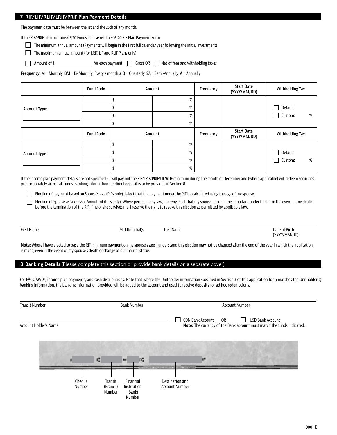# **7 RIF/LIF/RLIF/LRIF/PRIF Plan Payment Details**

The payment date must be between the 1st and the 25th of any month.

If the RIF/PRIF plan contains G5|20 Funds, please use the G5|20 RIF Plan Payment Form.

The minimum annual amount (Payments will begin in the first full calendar year following the initial investment)

 $\Box$  The maximum annual amount (for LRIF, LIF and RLIF Plans only)

Amount of \$

**Frequency: M** = Monthly **BM** = Bi-Monthly (Every 2 months) **Q** = Quarterly **SA** = Semi-Annually **A** = Annually

|                      | <b>Fund Code</b> | Amount | Frequency | <b>Start Date</b><br>(YYYY/MM/DD) | Withholding Tax                     |
|----------------------|------------------|--------|-----------|-----------------------------------|-------------------------------------|
|                      |                  | %      |           |                                   |                                     |
| <b>Account Type:</b> |                  | %      |           |                                   | Default<br>$\overline{\phantom{a}}$ |
|                      |                  | %      |           |                                   | Custom:<br>$\Box$<br>%              |
|                      |                  | %      |           |                                   |                                     |
|                      |                  |        |           |                                   |                                     |
|                      | <b>Fund Code</b> | Amount | Frequency | <b>Start Date</b><br>(YYYY/MM/DD) | <b>Withholding Tax</b>              |
|                      |                  | %      |           |                                   |                                     |
|                      |                  | %      |           |                                   | Default<br>$\Box$                   |
| <b>Account Type:</b> |                  | %      |           |                                   | Custom:<br>%<br>$\mathsf{L}$        |

If the income plan payment details are not specified, CI will pay out the RIF/LRIF/PRIF/LIF/RLIF minimum during the month of December and (where applicable) will redeem securities proportionately across all funds. Banking information for direct deposit is to be provided in Section 8.

Election of payment based on Spouse's age (RIFs only): I elect that the payment under the RIF be calculated using the age of my spouse.

Election of Spouse as Successor Annuitant (RIFs only): Where permitted by law, I hereby elect that my spouse become the annuitant under the RIF in the event of my death before the termination of the RIF, if he or she survives me. I reserve the right to revoke this election as permitted by applicable law.

П

First Name Middle Initial(s) Last Name Date of Birth

(YYYY/MM/DD)

**Note:** Where I have elected to base the RIF minimum payment on my spouse's age, I understand this election may not be changed after the end of the year in which the application is made, even in the event of my spouse's death or change of our marital status.

# **8 Banking Details** (Please complete this section or provide bank details on a separate cover)

For PACs, AWDs, income plan payments, and cash distributions. Note that where the Unitholder information specified in Section 3 of this application form matches the Unitholder(s) banking information, the banking information provided will be added to the account and used to receive deposits for ad hoc redemptions.

| <b>Transit Number</b> |                  | <b>Bank Number</b>            | <b>Account Number</b>                        |                                                                                                                                               |
|-----------------------|------------------|-------------------------------|----------------------------------------------|-----------------------------------------------------------------------------------------------------------------------------------------------|
| Account Holder's Name |                  |                               |                                              | $\perp$<br>CDN Bank Account<br><b>USD Bank Account</b><br><b>OR</b><br>Note: The currency of the Bank account must match the funds indicated. |
|                       |                  | к                             | е<br>m                                       |                                                                                                                                               |
|                       | Cheque<br>Number | Transit<br>(Branch)<br>Number | Financial<br>Institution<br>(Bank)<br>Number | ALL . AND REVENUE<br>and their capability build-back and con-<br>Destination and<br><b>Account Number</b>                                     |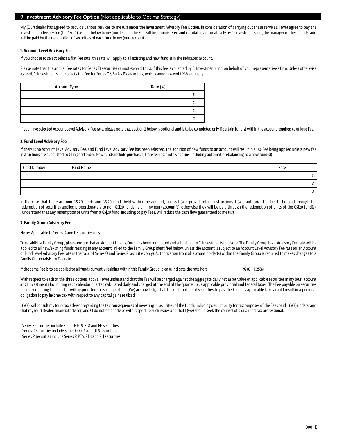# **9 Investment Advisory Fee Option** (Not applicable to Optima Strategy)

My (Our) dealer has agreed to provide various services to me (us) under the Investment Advisory Fee Option. In consideration of carrying out these services, I (we) agree to pay the investment advisory fee (the "Fee") set out below to my (our) Dealer. The Fee will be administered and calculated automatically by CI Investments Inc., the manager of these funds, and will be paid by the redemption of securities of each fund in my (our) account.

# **1. Account Level Advisory Fee**

If you choose to select select a flat Fee rate, this rate will apply to all existing and new fund(s) in the indicated account.

Please note that the annual Fee rates for Series F1 securities cannot exceed 1.50% if this fee is collected by CI Investments Inc. on behalf of your representative's firm. Unless otherwise agreed, CI Investments Inc. collects the Fee for Series O2/Series P3 securities, which cannot exceed 1.25% annually.

| <b>Account Type</b> | Rate (%)     |
|---------------------|--------------|
|                     | $\mathsf{o}$ |
|                     | $\mathsf{o}$ |
|                     | $\Omega$     |
|                     | $\mathbf{o}$ |

If you have selected Account Level Advisory Fee rate, please note that section 2 below is optional and is to be completed only if certain fund(s) within the account require(s) a unique Fee.

# **2. Fund Level Advisory Fee**

If there is no Account Level Advisory Fee, and Fund Level Advisory Fee has been selected, the addition of new funds to an account will result in a 0% Fee being applied unless new fee instructions are submitted to CI in good order. New funds include purchases, transfer-ins, and switch-ins (including automatic rebalancing to a new fund(s))

| <b>Fund Number</b> | <b>Fund Name</b> | Rate |
|--------------------|------------------|------|
|                    |                  | 70   |
|                    |                  | 70   |
|                    |                  | 70   |

In the case that there are non-G5|20 funds and G5|20 funds held within the account, unless I (we) provide other instructions, I (we) authorize the Fee to be paid through the redemption of securities applied proportionately to non-G5|20 funds held in my (our) account(s), otherwise they will be paid through the redemption of units of the G5|20 fund(s). I understand that any redemption of units from a G5|20 fund, including to pay Fees, will reduce the cash flow guaranteed to me (us).

# **3. Family Group Advisory Fee**

**Note:** Applicable to Series O and P securities only.

To establish a Family Group, please ensure that an Account Linking Form has been completed and submitted to CI Investments Inc. Note: The Family Group Level Advisory Fee rate will be applied to all new/existing funds residing in any account linked to the Family Group identified below, unless the account is subject to an Account Level Advisory Fee rate (or an Account or Fund Level Advisory Fee rate in the case of Series O and Series P securities only). Authorization from all account holder(s) within the Family Group is required to makes changes to a Family Group Advisory Fee rate.

If the same Fee is to be applied to all funds currently residing within this Family Group, please indicate the rate here: \_\_\_\_\_\_\_\_\_\_\_\_\_\_ % (0 - 1.25%)

With respect to each of the three options above, I (we) understand that the Fee will be charged against the aggregate daily net asset value of applicable securities in my (our) account at CI Investments Inc. during each calendar quarter, calculated daily and charged at the end of the quarter, plus applicable provincial and federal taxes. The Fee payable on securities purchased during the quarter will be prorated for such quarter. I (We) acknowledge that the redemption of securities to pay the Fee plus applicable taxes could result in a personal obligation to pay income tax with respect to any capital gains realized.

I (We) will consult my (our) tax advisor regarding the tax consequences of investing in securities of the funds, including deductibility for tax purposes of the Fees paid. I (We) understand that my (our) Dealer, financial advisor, and CI do not offer advice with respect to such issues and that I (we) should seek the counsel of a qualified tax professional.

<sup>1</sup> Series F securities include Series F, FT5, FT8 and FH securities.

<sup>2</sup> Series O securities include Series O, OT5 and OT8 securities.

<sup>3</sup> Series P securities include Series P, PT5, PT8 and PH securities.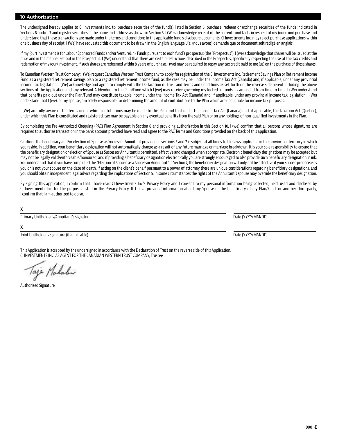# **10 Authorization**

The undersigned hereby applies to CI Investments Inc. to: purchase securities of the fund(s) listed in Section 6, purchase, redeem or exchange securities of the funds indicated in Sections 6 and/or 7 and register securities in the name and address as shown in Section 3. I (We) acknowledge receipt of the current fund facts in respect of my (our) fund purchase and understand that these transactions are made under the terms and conditions in the applicable fund's disclosure documents. CI Investments Inc. may reject purchase applications within one business day of receipt. I (We) have requested this document to be drawn in the English language. J'ai (nous avons) demandé que ce document soit rédigé en anglais.

If my (our) investment is for Labour Sponsored Funds and/or VentureLink Funds pursuant to each fund's prospectus (the "Prospectus"), I (we) acknowledge that shares will be issued at the price and in the manner set out in the Prospectus. I (We) understand that there are certain restrictions described in the Prospectus, specifically respecting the use of the tax credits and redemption of my (our) investment. If such shares are redeemed within 8 years of purchase, I (we) may be required to repay any tax credit paid to me (us) on the purchase of these shares.

To Canadian Western Trust Company: I (We) request Canadian Western Trust Company to apply for registration of the CI Investments Inc. Retirement Savings Plan or Retirement Income Fund as a registered retirement savings plan or a registered retirement income fund, as the case may be, under the Income Tax Act (Canada) and, if applicable, under any provincial income tax legislation. I (We) acknowledge and agree to comply with the Declaration of Trust and Terms and Conditions as set forth on the reverse side hereof including the above sections of the Application and any relevant Addendum to the Plan/Fund which I (we) may receive governing my locked-in funds, as amended from time to time. I (We) understand that benefits paid out under the Plan/Fund may constitute taxable income under the Income Tax Act (Canada) and, if applicable, under any provincial income tax legislation. I (We) understand that I (we), or my spouse, am solely responsible for determining the amount of contributions to the Plan which are deductible for income tax purposes.

I (We) am fully aware of the terms under which contributions may be made to this Plan and that under the Income Tax Act (Canada) and, if applicable, the Taxation Act (Quebec), under which this Plan is constituted and registered, tax may be payable on any eventual benefits from the said Plan or on any holdings of non-qualified investments in the Plan.

By completing the Pre-Authorized Chequing (PAC) Plan Agreement in Section 6 and providing authorization in this Section 10, I (we) confirm that all persons whose signatures are required to authorize transaction in the bank account provided have read and agree to the PAC Terms and Conditions provided on the back of this application.

**Caution:** The beneficiary and/or election of Spouse as Successor Annuitant provided in sections 5 and 7 is subject at all times to the laws applicable in the province or territory in which you reside. In addition, your beneficiary designation will not automatically change as a result of any future marriage or marriage breakdown. It is your sole responsibility to ensure that the beneficiary designation or election of Spouse as Successor Annuitant is permitted, effective and changed when appropriate. Electronic beneficiary designations may be accepted but may not be legally valid/enforceable/honoured, and if providing a beneficiary designation electronically you are strongly encouraged to also provide such beneficiary designation in ink. You understand that if you have completed the "Election of Spouse as a Successor Annuitant" in Section 7, the beneficiary designation will only not be effective if your spouse predeceases you or is not your spouse on the date of death. If acting on the client's behalf pursuant to a power of attorney there are unique considerations regarding beneficiary designations, and you should obtain independent legal advice regarding the implications of Section 5. In some circumstances the rights of the Annuitant's spouse may override the beneficiary designation.

By signing this application, I confirm that I have read CI Investments Inc.'s Privacy Policy and I consent to my personal information being collected, held, used and disclosed by CI Investments Inc. for the purposes listed in the Privacy Policy. If I have provided information about my Spouse or the beneficiary of my Plan/Fund, or another third-party, I confirm that I am authorized to do so.

# **X**

Primary Unitholder's/Annuitant's signature and the Date (YYYY/MM/DD) and the Date (YYYY/MM/DD)

**X**

Joint Unitholder's signature (if applicable) and the control of the control of the control of the control of the control of the control of the control of the control of the control of the control of the control of the cont

This Application is accepted by the undersigned in accordance with the Declaration of Trust on the reverse side of this Application. CI INVESTMENTS INC. AS AGENT FOR THE CANADIAN WESTERN TRUST COMPANY, Trustee

Salahir

Authorized Signature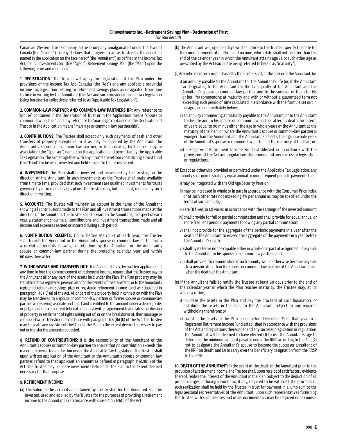Canadian Western Trust Company, a trust company amalgamated under the laws of Canada (the "Trustee"), hereby declares that it agrees to act as Trustee for the annuitant named in the application on the face hereof (the "Annuitant") as defined in the Income Tax Act, for CI Investments Inc. (the "Agent") Retirement Savings Plan (the "Plan") upon the following terms and conditions:

**1. REGISTRATION:** The Trustee will apply for registration of the Plan under the provisions of the Income Tax Act (Canada) (the "Act") and any applicable provincial income tax legislation relating to retirement savings plans as designated from time to time in writing by the Annuitant (the Act and such provincial income tax legislation being hereinafter collectively referred to as "Applicable Tax Legislation").

**2. COMMON-LAW PARTNER AND COMMON-LAW PARTNERSHIP:** Any reference to "spouse" contained in the Declaration of Trust or in the Application means "spouse or common-law partner" and any reference to "marriage" contained in the Declaration of Trust or in the Application means "marriage or common-law partnership".

**3. CONTRIBUTIONS:** The Trustee shall accept only such payments of cash and other transfers of property acceptable to it as may be directed by the Annuitant, the Annuitant's spouse or common law partner, or if applicable, by the company or association (the "Sponsor") named on the application and permitted by the Applicable Tax Legislation, the same together with any income therefrom constituting a trust fund (the "Fund") to be used, invested and held subject to the terms hereof.

**4. INVESTMENT:** The Plan shall be invested and reinvested by the Trustee, on the direction of the Annuitant, in such investments as the Trustee shall make available from time to time; provided that such investments are qualified investments for trusts governed by retirement savings plans. The Trustee may, but need not, require any such direction in writing.

**5. ACCOUNTS:** The Trustee will maintain an account in the name of the Annuitant showing all contributions made to the Plan and all investment transactions made at the direction of the Annuitant. The Trustee shall forward to the Annuitant, in respect of each year, a statement showing all contributions and investment transactions made and all income and expenses earned or incurred during such period.

**6. CONTRIBUTION RECEIPTS:** On or before March 31 of each year, the Trustee shall furnish the Annuitant or the Annuitant's spouse or common-law partner with a receipt or receipts showing contributions by the Annuitant or the Annuitant's spouse or common-law partner during the preceding calendar year and within 60 days thereafter.

**7. WITHDRAWALS AND TRANSFERS OUT:** The Annuitant may, by written application at any time before the commencement of retirement income, request that the Trustee pay to the Annuitant all or any part of the assets held under the Plan. The Plan property may be transferred to a registered pension plan for the benefit of the transferor, or to the Annuitants registered retirement savings plan or registered retirement income fund as stipulated in paragraph 146 (16) (a) of the Act. All or part of the property held in connection with the Plan may be transferred to a spouse or common-law partner or former spouse or common-law partner who is living separate and apart and is entitled to the amount under a decree, order or judgement of a competent tribunal or under a written agreement that relates to a division of property in settlement of rights arising out of, or on the breakdown of, their marriage or common-law partnership in accordance with paragraph 146 (16) (b) of the Act. The Trustee may liquidate any investments held under the Plan to the extent deemed necessary to pay out or transfer the amounts requested.

**8. REFUND OF CONTRIBUTIONS:** It is the responsibility of the Annuitant or the Annuitant's spouse or common-law partner to ensure that no contribution exceeds the maximum permitted deduction under the Applicable Tax Legislation. The Trustee shall, upon written application of the Annuitant or the Annuitant's spouse or common-law partner, refund to that applicant an amount as defined in paragraph 146(2)(c.1) of the Act. The Trustee may liquidate investments held under the Plan to the extent deemed necessary for that purpose.

# **9. RETIREMENT INCOME:**

(a) The value of the accounts maintained by the Trustee for the Annuitant shall be invested, used and applied by the Trustee for the purposes of providing a retirement income to the Annuitant in accordance with subsection 146(1) of the Act.

(b) The Annuitant will, upon 90 days written notice to the Trustee, specify the date for the commencement of a retirement income, which date shall not be later than the end of the calendar year in which the Annuitant attains age 71, or such other age as prescribed by the Act (such date being referred to herein as "maturity").

(c) Any retirement income purchased by the Trustee shall, at the option of the Annuitant, be:

- i) an annuity payable to the Annuitant for the Annuitant's life (or, if the Annuitant so designates, to the Annuitant for the lives jointly of the Annuitant and the Annuitant's spouse or common-law partner and to the survivor of them for his or her life) commencing at maturity and with or without a guaranteed term not exceeding such period of time calculated in accordance with the formula set out in paragraph (ii) immediately below;
- ii) an annuity commencing at maturity payable to the Annuitant, or to the Annuitant for his life and to his spouse or common-law partner after his death, for a term of years equal to 90 minus either the age in whole years of the Annuitant at the maturity of the Plan, or, where the Annuitant's spouse or common-law partner is younger than the Annuitant and the Annuitant so elects, the age in whole years of the Annuitant's spouse or common-law partner at the maturity of the Plan; or
- iii) a Registered Retirement Income Fund established in accordance with the provisions of the Act and regulations thereunder and any successor legislation or regulations.
- (d) Except as otherwise provided or permitted under the Applicable Tax Legislation, any annuity so acquired shall pay equal annual or more frequent periodic payments that:

i) may be integrated with the Old Age Security Pension;

- ii) may be increased in whole or in part in accordance with the Consumer Price Index or at such other rate not exceeding 4% per annum as may be specified under the terms of such annuity;
- iii) are (1) fixed, or (2) varied in accordance with the earnings of the invested amount;
- iv) shall provide for full or partial commutation and shall provide for equal annual or more frequent periodic payments following any partial commutation;
- v) shall not provide for the aggregate of the periodic payments in a year after the death of the Annuitant to exceed the aggregate of the payments in a year before the Annuitant's death;
- vi) shall by its terms not be capable either in whole or in part of assignment if payable to the Annuitant or his spouse or common-law partner; and
- vii) shall provide for commutation if such annuity would otherwise become payable to a person other than the spouse or common-law partner of the Annuitant on or after the death of the Annuitant.
- (e) If the Annuitant fails to notify the Trustee at least 60 days prior to the end of the calendar year in which the Plan reaches maturity, the Trustee may, at its sole discretion,
	- i) liquidate the assets in the Plan and pay the proceeds of such liquidation, or distribute the assets in the Plan, to the Annuitant, subject to any required withholding therefrom; or
	- ii) transfer the assets in the Plan on or before December 31 of that year to a Registered Retirement Income Fund established in accordance with the provisions of the Act and regulations thereunder and any successor legislation or regulations. The Annuitant will be deemed to have elected (1) to use the Annuitants age to determine the minimum amount payable under the RRIF according to the Act; (2) not to designate the Annuitant's spouse to become the successor annuitant of the RRIF on death; and (3) to carry over the beneficiary designation from the RRSP to the RRIF.

**10. DEATH OF THE ANNUITANT:** In the event of the death of the Annuitant prior to the provision of a retirement income, the Trustee shall, upon receipt of satisfactory evidence thereof, realize the interest of the Annuitant in the Plan. Subject to the deduction of all proper charges, including income tax, if any, required to be withheld, the proceeds of such realization shall be held by the Trustee in trust for payment in a lump sum to the legal personal representatives of the Annuitant, upon such representatives furnishing the Trustee with such releases and other documents as may be required or as counsel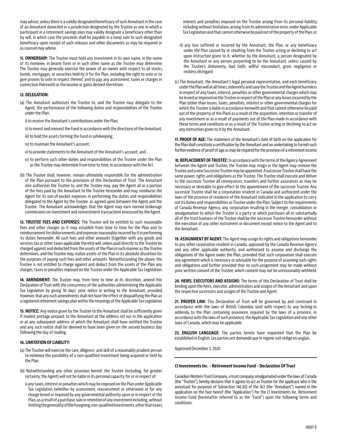may advise, unless there is a validly designated beneficiary of such Annuitant in the case of an Annuitant domiciled in a jurisdiction designated by the Trustee as one in which a participant in a retirement savings plan may validly designate a beneficiary other than by will, in which case the proceeds shall be payable in a lump sum to such designated beneficiary upon receipt of such releases and other documents as may be required or as counsel may advise.

**11. OWNERSHIP:** The Trustee must hold any investment in its own name, in the name of its nominee, in bearer form or in such other name as the Trustee may determine. The Trustee may generally exercise the power of an owner with respect to all stocks, bonds, mortgages, or securities held by it for the Plan, including the right to vote or to give proxies to vote in respect thereof, and to pay any assessment, taxes or charges in connection therewith or the income or gains derived therefrom.

# **12. DELEGATION:**

- (a) The Annuitant authorizes the Trustee to, and the Trustee may delegate to the Agent, the performance of the following duties and responsibilities of the Trustee under the Plan:
	- i) to receive the Annuitant's contributions under the Plan;
	- ii) to invest and reinvest the Fund in accordance with the directions of the Annuitant;
	- iii) to hold the assets forming the Fund in safekeeping;
	- iv) to maintain the Annuitant's account;
	- v) to provide statements to the Annuitant of the Annuitant's account; and
	- vi) to perform such other duties and responsibilities of the Trustee under the Plan as the Trustee may determine from time to time, in accordance with the Act.
- (b) The Trustee shall, however, remain ultimately responsible for the administration of the Plan pursuant to the provisions of this Declaration of Trust. The Annuitant also authorizes the Trustee to, and the Trustee may, pay the Agent all or a portion of the fees paid by the Annuitant to the Trustee hereunder and may reimburse the Agent for its out-of-pocket expenses in performing the duties and responsibilities delegated to the Agent by the Trustee, as agreed upon between the Agent and the Trustee. The Annuitant acknowledges that the Agent may earn normal brokerage commissions on investment and reinvestment transactions processed by the Agent.

**13. TRUSTEE FEES AND EXPENSES:** The Trustee will be entitled to such reasonable fees and other charges as it may establish from time to time for the Plan and to reimbursement for disbursements and expenses reasonably incurred by it in performing its duties hereunder. All such fees and other amounts (together with any goods and services tax or other taxes applicable thereto) will, unless paid directly to the Trustee be charged against and deducted from the assets of the Plan in such manner as the Trustee determines, and the Trustee may realize assets of the Plan in its absolute discretion for the purposes of paying such fees and other amounts. Notwithstanding the above, the Trustee is not entitled to charge against and deduct from the assets of the Plan any charges, taxes or penalties imposed on the Trustee under the Applicable Tax Legislation.

**14. AMENDMENT:** The Trustee may, from time to time at its discretion, amend this Declaration of Trust with the concurrence of the authorities administering the Applicable Tax Legislation by giving 30 days' prior notice in writing to the Annuitant, provided, however, that any such amendments shall not have the effect of disqualifying the Plan as a registered retirement savings plan within the meanings of the Applicable Tax Legislation.

**15. NOTICE:** Any notice given by the Trustee to the Annuitant shall be sufficiently given if mailed, postage prepaid, to the Annuitant at the address set out in the application or at any subsequent address of which the Annuitant shall have notified the Trustee and any such notice shall be deemed to have been given on the second business day following the day of mailing.

# **16. LIMITATION OF LIABILITY:**

- (a) The Trustee will exercise the care, diligence, and skill of a reasonably prudent person to minimize the possibility of a non-qualified investment being acquired or held by the Plan.
- (b) Notwithstanding any other provision hereof, the Trustee (including, for greater certainty, the Agent) will not be liable in its personal capacity for or in respect of:
	- i) any taxes, interest or penalties which may be imposed on the Plan under Applicable Tax Legislation (whether by assessment, reassessment or otherwise) or for any charge levied or imposed by any governmental authority upon or in respect of the Plan, as a result of a purchase, sale or retention of any investment including, without limiting the generality of the foregoing, non-qualified investments, other than taxes,

interest and penalties imposed on the Trustee arising from its personal liability, including without limitation, arising from its administrative error, under Applicable Tax Legislation and that cannot otherwise be paid out of the property of the Plan; or

- ii) any loss suffered or incurred by the Annuitant, the Plan, or any beneficiary under the Plan caused by or resulting from the Trustee acting or declining to act upon instruction given to it, whether by the Annuitant, a person designated by the Annuitant or any person purporting to be the Annuitant, unless caused by the Trustee's dishonesty, bad faith, willful misconduct, gross negligence or reckless disregard.
- (c) The Annuitant, the Annuitant's legal personal representative, and each beneficiary under the Plan will at all times, indemnify and save the Trustee and the Agent harmless in respect of any taxes, interest, penalties or other governmental charges which may be levied or imposed on the Trustee in respect of the Plan or any losses incurred by the Plan (other than losses, taxes, penalties, interest or other governmental charges for which the Trustee is liable in accordance herewith and that cannot otherwise be paid out of the property of the Plan) as a result of the acquisition, retention or transfer of any investment or as a result of payments out of the Plan made in accordance with these terms and conditions or as a result of the Trustee acting or declining to act on any instruction given to it by the Annuitant.

**17. PROOF OF AGE:** The statement of the Annuitant's date of birth on the application for the Plan shall constitute a certification by the Annuitant and an undertaking to furnish such further evidence of proof of age as may be required for the provision of a retirement income.

1**8. REPLACEMENT OF TRUSTEE:** In accordance with the terms of the Agency Agreement between the Agent and Trustee, the Trustee may resign or the Agent may remove the Trustee and a new Successor Trustee may be appointed. A successor Trustee shall have the same power, rights and obligations as the Trustee. The Trustee shall execute and deliver to the successor Trustee all conveyances, transfers and further assurances as may be necessary or desirable to give effect to the appointment of the successor Trustee. Any successor Trustee shall be a corporation resident in Canada and authorized under the laws of the province of residence of the Annuitant indicated in the application to carry out its duties and responsibilities as Trustee under the Plan. Subject to the requirements of Canada Revenue Agency, any corporation resulting in the merger, consolidation or amalgamation to which the Trustee is a party or which purchases all or substantially all of the trust business of the Trustee shall be the successor Trustee hereunder without the execution of any other instrument or document except notice to the Agent and to the Annuitant.

**19. ASSIGNMENT BY AGENT:** The Agent may assign its rights and obligations hereunder to any other corporation resident in Canada, approved by the Canada Revenue Agency and any other applicable authority, and authorized to assume and discharge the obligations of the Agent under the Plan, provided that such corporation shall execute any agreement which is necessary or advisable for the purpose of assuming such rights and obligations and further provided that no such assignment may be made without prior written consent of the Trustee, which consent may not be unreasonably withheld.

**20. HEIRS, EXECUTORS AND ASSIGNS:** The terms of this Declaration of Trust shall be binding upon the heirs, executor, administrators and assigns of the Annuitant and upon the respective successors and assigns of the Trustee and Agent.

**21. PROPER LAW:** This Declaration of Trust will be governed by and construed in accordance with the laws of British Columbia (and with respect to any locking-in addenda to the Plan containing provisions required by the laws of a province, in accordance with the laws of such province), the Applicable Tax Legislation and any other laws of Canada, which may be applicable.

**22. ENGLISH LANGUAGE:** The parties hereto have requested that the Plan be established in English. Les parties ont demandé que le régime soit rédigé en anglais.

Approved December 3, 2020

#### **CI Investments Inc. – Retirement Income Fund – Declaration Of Trust**

Canadian Western Trust Company, a trust company amalgamated under the laws of Canada (the "Trustee"), hereby declares that it agrees to act as Trustee for the applicant who is the annuitant for purposes of Subsection 146.3(1) of the Act (the "Annuitant") named in the application on the face hereof (the "Application") for the CI Investments Inc. Retirement Income Fund (hereinafter referred to as the "Fund") upon the following terms and conditions: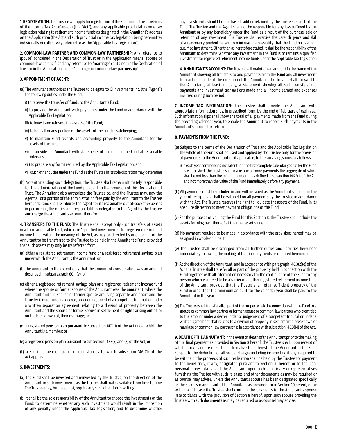**1. REGISTRATION:** The Trustee will apply for registration of the Fund under the provisions of the Income Tax Act (Canada) (the "Act"), and any applicable provincial income tax legislation relating to retirement income funds as designated in the Annuitant's address on the Application (the Act and such provincial income tax legislation being hereinafter individually or collectively referred to as the "Applicable Tax Legislation").

**2. COMMON-LAW PARTNER AND COMMON-LAW PARTNERSHIP:** Any reference to "spouse" contained in the Declaration of Trust or in the Application means "spouse or common-law partner" and any reference to "marriage" contained in the Declaration of Trust or in the Application means "marriage or common-law partnership".

# **3. APPOINTMENT OF AGENT:**

- (a) The Annuitant authorizes the Trustee to delegate to CI Investments Inc. (the "Agent") the following duties under the Fund:
	- i) to receive the transfer of funds to the Annuitant's Fund;
	- ii) to provide the Annuitant with payments under the Fund in accordance with the Applicable Tax Legislation:
	- iii) to invest and reinvest the assets of the Fund;
	- iv) to hold all or any portion of the assets of the Fund in safekeeping;
	- v) to maintain Fund records and accounting properly to the Annuitant for the assets of the Fund;
	- vi) to provide the Annuitant with statements of account for the Fund at reasonable intervals;
	- vii) to prepare any forms required by the Applicable Tax Legislation; and

viii) such other duties under the Fund as the Trustee in its sole discretion may determine.

(b) Notwithstanding such delegation, the Trustee shall remain ultimately responsible for the administration of the Fund pursuant to the provision of this Declaration of Trust. The Annuitant also authorizes the Trustee to, and the Trustee may, pay the Agent all or a portion of the administration fees paid by the Annuitant to the Trustee hereunder and shall reimburse the Agent for its reasonable out of-pocket expenses in performing the duties and responsibilities delegated to the Agent by the Trustee and charge the Annuitant's account therefor.

**4. TRANSFERS TO THE FUND:** The Trustee shall accept only such transfers of assets in a form acceptable to it, which are "qualified investments" for registered retirement income funds within the meaning of the Act, as may be directed by or on behalf of the Annuitant to be transferred to the Trustee to be held in the Annuitant's Fund, provided that such assets may only be transferred from:

- (a) either a registered retirement income fund or a registered retirement savings plan under which the Annuitant is the annuitant; or
- (b) the Annuitant to the extent only that the amount of consideration was an amount described in subparagraph 60(l)(v); or
- (c) either a registered retirement savings plan or a registered retirement income fund where the spouse or former spouse of the Annuitant was the annuitant, where the Annuitant and the spouse or former spouse are living separate and apart and the transfer is made under a decree, order or judgment of a competent tribunal, or under a written separation agreement, relating to a division of property between the Annuitant and the spouse or former spouse in settlement of rights arising out of, or on the breakdown of, their marriage; or
- (d) a registered pension plan pursuant to subsection 147.1(1) of the Act under which the Annuitant is a member; or
- (e) a registered pension plan pursuant to subsection 147.3(5) and (7) of the Act; or
- (f) a specified pension plan in circumstances to which subsection 146(21) of the Act applies.

# **5. INVESTMENTS:**

- (a) The Fund shall be invested and reinvested by the Trustee, on the direction of the Annuitant, in such investments as the Trustee shall make available from time to time. The Trustee may, but need not, require any such direction in writing.
- (b) It shall be the sole responsibility of the Annuitant to choose the investments of the Fund; to determine whether any such investment would result in the imposition of any penalty under the Applicable Tax Legislation; and to determine whether

any investments should be purchased, sold or retained by the Trustee as part of the Fund. The Trustee and the Agent shall not be responsible for any loss suffered by the Annuitant or by any beneficiary under the Fund as a result of the purchase, sale or retention of any investment. The Trustee shall exercise the care, diligence and skill of a reasonably prudent person to minimize the possibility that the Fund holds a nonqualified investment. Other than as heretofore stated, it shall be the responsibility of the Annuitant to determine whether any investment in the Fund is or remains a qualified investment for registered retirement income funds under the Applicable Tax Legislation.

**6. ANNUITANT'S ACCOUNT:** The Trustee will maintain an account in the name of the Annuitant showing all transfers to and payments from the Fund and all investment transactions made at the direction of the Annuitant. The Trustee shall forward to the Annuitant, at least annually, a statement showing all such transfers and payments and investment transactions made and all income earned and expenses incurred during such period.

**7. INCOME TAX INFORMATION:** The Trustee shall provide the Annuitant with appropriate information slips, in prescribed form, by the end of February of each year. Such information slips shall show the total of all payments made from the Fund during the preceding calendar year, to enable the Annuitant to report such payments in the Annuitant's income tax return.

# **8. PAYMENTS FROM THE FUND:**

- (a) Subject to the terms of the Declaration of Trust and the Applicable Tax Legislation, the whole of the Fund shall be used and applied by the Trustee only for the provision of payments to the Annuitant or, if applicable, to the surviving spouse as follows:
	- i) In each year commencing not later than the first complete calendar year after the Fund is established, the Trustee shall make one or more payments the aggregate of which shall be not less than the minimum amount as defined in subsection 146.3(1) of the Act, and not more than the value of the Fund immediately before any payment.
- (b) All payments must be included in and will be taxed as the Annuitant's income in the year of receipt. Tax shall be withheld on all payments by the Trustee in accordance with the Act. The Trustee reserves the right to liquidate the assets of the Fund, in its absolute discretion to meet payment obligations of the Fund.
- (c) For the purposes of valuing the Fund for this Section 8, the Trustee shall include the assets forming part thereof at their net asset value.
- (d) No payment required to be made in accordance with the provisions hereof may be assigned in whole or in part.
- (e) The Trustee shall be discharged from all further duties and liabilities hereunder immediately following the making of the final payments as required hereunder.
- (f) At the direction of the Annuitant, and in accordance with paragraph 146.3(2)(e) of the Act the Trustee shall transfer all or part of the property held in connection with the Fund together with all information necessary for the continuance of the Fund to any person who has agreed to be a carrier of another registered retirement income fund of the Annuitant, provided that the Trustee shall retain sufficient property of the Fund in order that the minimum amount for the calendar year shall be paid to the Annuitant in the year.
- (g) The Trustee shall transfer all or part of the property held in connection with the Fund to a spouse or common-law partner or former spouse or common-law partner who is entitled to the amount under a decree, order or judgement of a competent tribunal or under a written agreement that relates to a division of property in settlement a breakdown of marriage or common-law partnership in accordance with subsection 146.3(14) of the Act.

**9. DEATH OF THE ANNUITANT:** In the event of death of the Annuitant prior to the making of the final payment as provided in Section 8 hereof, the Trustee shall, upon receipt of satisfactory evidence of such death, realize the interest of the Annuitant in the Fund. Subject to the deduction of all proper charges including income tax, if any, required to be withheld, the proceeds of such realization shall be held by the Trustee for payment to the beneficiary, if any, designated pursuant to Section 10 hereof, or to the legal personal representatives of the Annuitant, upon such beneficiary or representatives furnishing the Trustee with such releases and other documents as may be required or as counsel may advise, unless the Annuitant's spouse has been designated specifically as the successor annuitant of the Annuitant as provided for in Section 10 hereof, or by will, in which case the Trustee shall continue the payments to the Annuitant's spouse in accordance with the provision of Section 8 hereof, upon such spouse providing the Trustee with such documents as may be required or as counsel may advise.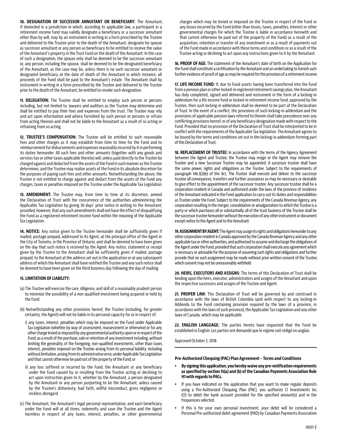**10. DESIGNATION OF SUCCESSOR ANNUITANT OR BENEFICIARY:** The Annuitant, if domiciled in a jurisdiction in which, according to applicable law, a participant in a retirement income fund may validly designate a beneficiary or a successor annuitant other than by will, may by an instrument in writing in a form prescribed by the Trustee and delivered to the Trustee prior to the death of the Annuitant, designate his spouse as successor annuitant or any person as beneficiary to be entitled to receive the value of the Annuitant's property in the Trust Fund on the death of the Annuitant. In the case of such a designation, the spouse only shall be deemed to be the successor annuitant or, any person, including the spouse, shall be deemed to be the designated beneficiary of the Annuitant, as the case may be, unless there is no such successor annuitant or designated beneficiary at the date of death of the Annuitant in which instance, all proceeds of the Fund shall be paid to the Annuitant's estate. The Annuitant shall by instrument in writing in a form prescribed by the Trustee and delivered to the Trustee prior to the death of the Annuitant, be entitled to revoke such designation.

**11. DELEGATION:** The Trustee shall be entitled to employ such person or persons including, but not limited to, lawyers and auditors as the Trustee may determine and shall be entitled to pay their fees and expenses from the trust. The Trustee may rely and act upon information and advice furnished by such person or persons or refrain from acting thereon and shall not be liable to the Annuitant as a result of so acting or refraining from so acting.

**12. TRUSTEE'S COMPENSATION:** The Trustee will be entitled to such reasonable fees and other charges as it may establish from time to time for the Fund and to reimbursement for disbursements and expenses reasonably incurred by it in performing its duties hereunder. All such fees and other amounts (together with any goods and services tax or other taxes applicable thereto) will, unless paid directly to the Trustee be charged against and deducted from the assets of the Fund in such manner as the Trustee determines, and the Trustee may realize assets of the Fund in its absolute discretion for the purposes of paying such fees and other amounts. Notwithstanding the above, the Trustee is not entitled to charge against and deduct from the assets of the Fund any charges, taxes or penalties imposed on the Trustee under the Applicable Tax Legislation.

**13. AMENDMENT:** The Trustee may, from time to time at its discretion, amend the Declaration of Trust with the concurrence of the authorities administering the Applicable Tax Legislation by giving 30 days' prior notice in writing to the Annuitant; provided, however, that any such amendments shall not have the effect of disqualifying the Fund as a registered retirement income fund within the meaning of the Applicable Tax Legislation.

**14. NOTICE:** Any notice given to the Trustee hereunder shall be sufficiently given if mailed, postage prepaid, addressed to its Agent, at the principal office of the Agent in the City of Toronto, in the Province of Ontario, and shall be deemed to have been given on the day that such notice is received by the Agent. Any notice, statement or receipt given by the Trustee to the Annuitant shall be sufficiently given if mailed, postage prepaid, to the Annuitant at the address set out in the application or at any subsequent address of which the Annuitant shall have notified the Trustee and any such notice shall be deemed to have been given on the third business day following the day of mailing.

# **15. LIMITATION OF LIABILITY:**

- (a) The Trustee will exercise the care, diligence, and skill of a reasonably prudent person to minimize the possibility of a non-qualified investment being acquired or held by the Fund.
- (b) Notwithstanding any other provisions hereof, the Trustee (including, for greater certainty, the Agent) will not be liable in its personal capacity for or in respect of:
	- i) any taxes, interest, penalties which may be imposed on the Fund under Applicable Tax Legislation (whether by way of assessment, reassessment or otherwise) or for any other charge levied or imposed by any governmental authority upon or in respect of the Fund, as a result of the purchase, sale or retention of any investment including, without limiting the generality of the foregoing, non-qualified investments, other than taxes, interest, penalties imposed on the Trustee arising from its personal liability, including without limitation, arising from its administrative error, under Applicable Tax Legislation and that cannot otherwise be paid out of the property of the Fund; or
	- ii) any loss suffered or incurred by the Fund, the Annuitant or any beneficiary under the Fund caused by or resulting from the Trustee acting or declining to act upon instruction given to it, whether by the Annuitant, a person designated by the Annuitant or any person purporting to be the Annuitant, unless caused by the Trustee's dishonesty, bad faith, willful misconduct, gross negligence or reckless disregard.
- (c) The Annuitant, the Annuitant's legal personal representative, and each beneficiary under the Fund will at all times, indemnify and save the Trustee and the Agent harmless in respect of any taxes, interest, penalties, or other governmental

charges which may be levied or imposed on the Trustee in respect of the Fund or any losses incurred by the Fund (other than losses, taxes, penalties, interest or other governmental charges for which the Trustee is liable in accordance herewith and that cannot otherwise be paid out of the property of the Fund) as a result of the acquisition, retention or transfer of any investment or as a result of payments out of the Fund made in accordance with these terms and conditions or as a result of the Trustee acting or declining to act upon any instructions given to it by the Annuitant.

**16. PROOF OF AGE:** The statement of the Annuitant's date of birth on the Application for the Fund shall constitute a certification by the Annuitant and an undertaking to furnish such further evidence of proof of age as may be required for the provision of a retirement income.

**17. LIFE INCOME FUND:** If, due to Fund assets having been transferred into the Fund from a pension plan or other locked-in registered retirement savings plan, the Annuitant has duly completed, signed and delivered and instrument in the form of a locking-in addendum for a life income fund or locked-in retirement income fund, approved by the Trustee, then such locking-in addendum shall be deemed to be part of the Declaration of Trust. In the event of a conflict, the provisions of such locking-in addendum and the provisions of applicable pension laws referred to therein shall take precedence over any conflicting provisions hereof, or of any beneficiary designation made with respect to the Fund. Provided that no provision of the Declaration of Trust shall be interpreted to be in conflict with the requirements of the Applicable Tax legislation. The Annuitant agrees to be bound by the terms and conditions set out in the locking-in addendum forming part of this Declaration of Trust.

**18. REPLACEMENT OF TRUSTEE:** In accordance with the terms of the Agency Agreement between the Agent and Trustee, the Trustee may resign or the Agent may remove the Trustee and a new Successor Trustee may be appointed. A successor trustee shall have the same power, rights and obligations as the Trustee. Subject to the requirements of paragraph 146.3(2)(e) of the Act, The Trustee shall execute and deliver to the successor trustee all conveyances, transfers and further assurances as may be necessary or desirable to give effect to the appointment of the successor trustee. Any successor trustee shall be a corporation resident in Canada and authorized under the laws of the province of residence of the Annuitant indicated in the Fund application to carry out its duties and responsibilities as Trustee under the Fund. Subject to the requirements of the Canada Revenue Agency, any corporation resulting in the merger, consolidation or amalgamation to which the Trustee is a party or which purchases all or substantially all of the trust business of the Trustee shall be the successor trustee hereunder without the execution of any other instrument or document except notice to the Agent and to the Annuitant.

**19. ASSIGNMENT BY AGENT:** The Agent may assign its rights and obligations hereunder to any other corporation resident in Canada approved by the Canada Revenue Agency and any other applicable tax or other authorities, and authorized to assume and discharge the obligations of the Agent under the Fund, provided that such corporation shall execute any agreement which is necessary or advisable for the purpose of assuming such rights and obligations and further provide that no such assignment may be made without prior written consent of the Trustee, which consent may not be unreasonably withheld.

**20. HEIRS, EXECUTORS AND ASSIGNS:** The terms of this Declaration of Trust shall be binding upon the heirs, executor, administrators and assigns of the Annuitant and upon the respective successors and assigns of the Trustee and Agent.

21. PROPER LAW: This Declaration of Trust will be governed by and construed in accordance with the laws of British Columbia (and with respect to any locking-in Addenda to the Fund containing provision required by the laws of a province, in accordance with the laws of such province), the Applicable Tax Legislation and any other laws of Canada, which may be applicable.

**22. ENGLISH LANGUAGE:** The parties hereto have requested that the Fund be established in English. Les parties ont demandé que le régime soit rédigé en anglais.

Approved October 2, 2018

#### **Pre-Authorized Chequing (PAC) Plan Agreement – Terms and Conditions**

- y **By signing this application, you hereby waive any pre-notification requirements as specified by section 15(a) and (b) of the Canadian Payments Association Rule H1 with regards to PACs.**
- If you have indicated on the application that you want to make regular deposits using a Pre-Authorized Chequing Plan (PAC), you authorize CI Investments Inc. (CI) to debit the bank account provided for the specified amount(s) and in the frequencies selected.
- If this is for your own personal investment, your debit will be considered a Personal Pre-authorized debit agreement (PAD) by Canadian Payments Association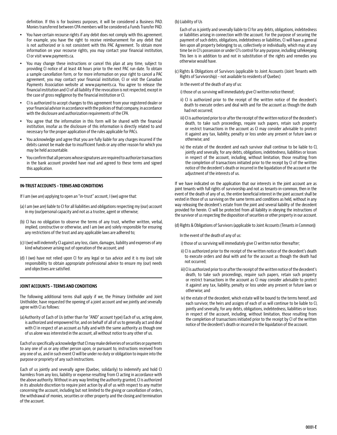definition. If this is for business purposes, it will be considered a Business PAD. Monies transferred between CPA members will be considered a Funds Transfer PAD.

- You have certain recourse rights if any debit does not comply with this agreement. For example, you have the right to receive reimbursement for any debit that is not authorized or is not consistent with this PAC Agreement. To obtain more information on your recourse rights, you may contact your financial institution, CI or visit www.payments.ca.
- You may change these instructions or cancel this plan at any time, subject to providing CI notice of at least 48 hours prior to the next PAC run date. To obtain a sample cancellation form, or for more information on your right to cancel a PAC agreement, you may contact your financial institution, CI or visit the Canadian Payments Association website at www.payments.ca. You agree to release the financial institution and CI of all liability if the revocation is not respected, except in the case of gross negligence by the financial institution or CI.
- CI is authorized to accept changes to this agreement from your registered dealer or your financial advisor in accordance with the policies of that company, in accordance with the disclosure and authorization requirements of the CPA.
- You agree that the information in this form will be shared with the financial institution, insofar as the disclosure of this information is directly related to and necessary for the proper application of the rules applicable for PACs.
- y You acknowledge and agree that you are fully liable for any charges incurred if the debits cannot be made due to insufficient funds or any other reason for which you may be held accountable.
- y You confirm that all persons whose signatures are required to authorize transactions in the bank account provided have read and agreed to these terms and signed this application.

## **IN-TRUST ACCOUNTS – TERMS AND CONDITIONS**

If I am (we are) applying to open an "in-trust" account, I (we) agree that:

- (a) I am (we are) liable to CI for all liabilities and obligations respecting my (our) account in my (our)personal capacity and not as a trustee, agent or otherwise;
- (b) CI has no obligation to observe the terms of any trust, whether written, verbal, implied, constructive or otherwise, and I am (we are) solely responsible for ensuring any restrictions of the trust and any applicable laws are adhered to;
- (c) I (we) will indemnify CI against any loss, claim, damages, liability and expenses of any kind whatsoever arising out of operation of the account; and
- (d) I (we) have not relied upon CI for any legal or tax advice and it is my (our) sole responsibility to obtain appropriate professional advice to ensure my (our) needs and objectives are satisfied.

#### **JOINT ACCOUNTS – TERMS AND CONDITIONS**

The following additional terms shall apply if we, the Primary Unitholder and Joint Unitholder, have requested the opening of a joint account and we jointly and severally agree with CI as follows:

(a)Authority of Each of Us (other than for "AND" account type) Each of us, acting alone, is authorized and empowered for, and on behalf of all of us to generally act and deal with CI in respect of an account as fully and with the same authority as though one of us alone was interested in the account, all without notice to any other of us.

Each of us specifically acknowledge that CI may make deliveries of securities or payments to any one of us or any other person upon, or pursuant to, instructions received from any one of us, and in such event CI will be under no duty or obligation to inquire into the purpose or propriety of any such instructions.

Each of us jointly and severally agree (Quebec, solidarily) to indemnify and hold CI harmless from any loss, liability or expense resulting from CI acting in accordance with the above authority. Without in any way limiting the authority granted, CI is authorized in its absolute discretion to require joint action by all of us with respect to any matter concerning the account, including but not limited to the giving or cancellation of orders, the withdrawal of monies, securities or other property and the closing and termination of the account.

#### (b) Liability of Us

Each of us is jointly and severally liable to CI for any debts, obligations, indebtedness or liabilities arising in connection with the account. For the purpose of securing the payment of such debts, obligations, indebtedness or liabilities, CI will have a general lien upon all property belonging to us, collectively or individually, which may at any time be in CI's possession or under CI's control for any purpose, including safekeeping. This lien is in addition to and not in substitution of the rights and remedies you otherwise would have.

(c) Rights & Obligations of Survivors (applicable to Joint Accounts (Joint Tenants with Rights of Survivorship) – not available to residents of Quebec)

In the event of the death of any of us:

- i) those of us surviving will immediately give CI written notice thereof;
- ii) CI is authorized prior to the receipt of the written notice of the decedent's death to execute orders and deal with and for the account as though the death had not occurred;
- iii) CI is authorized prior to or after the receipt of the written notice of the decedent's death, to take such proceedings, require such papers, retain such property or restrict transactions in the account as CI may consider advisable to protect it against any tax, liability, penalty or loss under any present or future laws or otherwise; and
- iv) the estate of the decedent and each survivor shall continue to be liable to CI, jointly and severally, for any debts, obligations, indebtedness, liabilities or losses in respect of the account, including, without limitation, those resulting from the completion of transactions initiated prior to the receipt by CI of the written notice of the decedent's death or incurred in the liquidation of the account or the adjustment of the interests of us.

If we have indicated on the application that our interests in the joint account are as joint tenants with full rights of survivorship and not as tenants-in-common, then in the event of the death of any of us, the entire beneficial interest in the joint account shall be vested in those of us surviving on the same terms and conditions as held, without in any way releasing the decedent's estate from the joint and several liability of the decedent provided for herein. CI will be protected from all liability in obeying the instructions of the survivor of us respecting the disposition of securities or other property in our account.

(d) Rights & Obligations of Survivors (applicable to Joint Accounts (Tenants in Common))

In the event of the death of any of us:

i) those of us surviving will immediately give CI written notice thereafter;

- ii) CI is authorized prior to the receipt of the written notice of the decedent's death to execute orders and deal with and for the account as though the death had not occurred;
- iii) CI is authorized prior to or after the receipt of the written notice of the decedent's death, to take such proceedings, require such papers, retain such property or restrict transactions in the account as CI may consider advisable to protect it against any tax, liability, penalty or loss under any present or future laws or otherwise; and
- iv) the estate of the decedent, which estate will be bound to the terms hereof, and each survivor, the heirs and assigns of each of us will continue to be liable to CI, jointly and severally, for any debts, obligations, indebtedness, liabilities or losses in respect of the account, including, without limitation, those resulting from the completion of transactions initiated prior to the receipt by CI of the written notice of the decedent's death or incurred in the liquidation of the account.